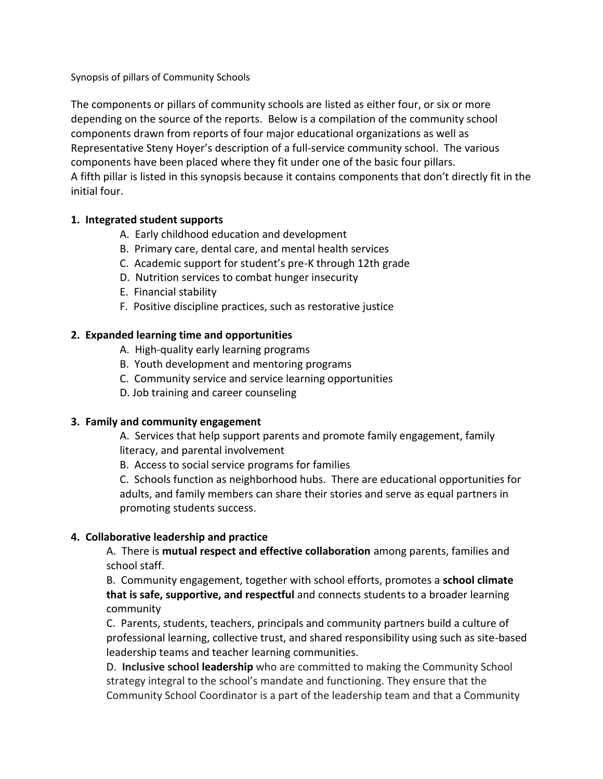Synopsis of pillars of Community Schools

The components or pillars of community schools are listed as either four, or six or more depending on the source of the reports. Below is a compilation of the community school components drawn from reports of four major educational organizations as well as Representative Steny Hoyer's description of a full-service community school. The various components have been placed where they fit under one of the basic four pillars. A fifth pillar is listed in this synopsis because it contains components that don't directly fit in the initial four.

# **1. Integrated student supports**

- A. Early childhood education and development
- B. Primary care, dental care, and mental health services
- C. Academic support for student's pre-K through 12th grade
- D. Nutrition services to combat hunger insecurity
- E. Financial stability
- F. Positive discipline practices, such as restorative justice

# **2. Expanded learning time and opportunities**

- A. High-quality early learning programs
- B. Youth development and mentoring programs
- C. Community service and service learning opportunities
- D. Job training and career counseling

### **3. Family and community engagement**

A. Services that help support parents and promote family engagement, family literacy, and parental involvement

B. Access to social service programs for families

C. Schools function as neighborhood hubs. There are educational opportunities for adults, and family members can share their stories and serve as equal partners in promoting students success.

### **4. Collaborative leadership and practice**

A. There is **mutual respect and effective collaboration** among parents, families and school staff.

B. Community engagement, together with school efforts, promotes a **school climate that is safe, supportive, and respectful** and connects students to a broader learning community

C. Parents, students, teachers, principals and community partners build a culture of professional learning, collective trust, and shared responsibility using such as site-based leadership teams and teacher learning communities.

D. **Inclusive school leadership** who are committed to making the Community School strategy integral to the school's mandate and functioning. They ensure that the Community School Coordinator is a part of the leadership team and that a Community